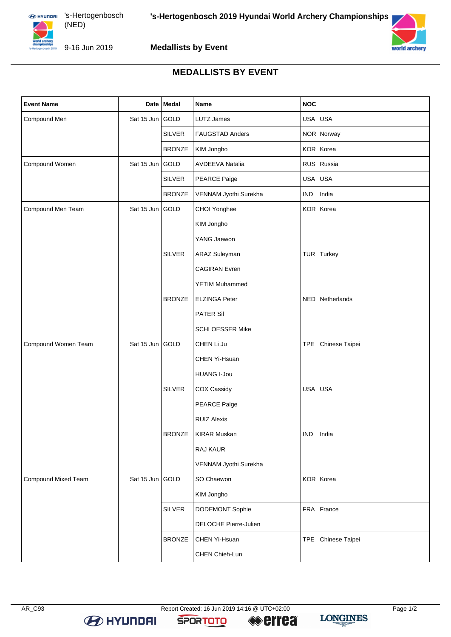



9-16 Jun 2019

## **Medallists by Event**

## **MEDALLISTS BY EVENT**

| <b>Event Name</b>   |                 | Date   Medal  | <b>Name</b>            | <b>NOC</b>          |
|---------------------|-----------------|---------------|------------------------|---------------------|
| Compound Men        | Sat 15 Jun GOLD |               | LUTZ James             | USA USA             |
|                     |                 | <b>SILVER</b> | <b>FAUGSTAD Anders</b> | NOR Norway          |
|                     |                 | <b>BRONZE</b> | KIM Jongho             | KOR Korea           |
| Compound Women      | Sat 15 Jun GOLD |               | <b>AVDEEVA Natalia</b> | RUS Russia          |
|                     |                 | <b>SILVER</b> | PEARCE Paige           | USA USA             |
|                     |                 | <b>BRONZE</b> | VENNAM Jyothi Surekha  | <b>IND</b><br>India |
| Compound Men Team   | Sat 15 Jun GOLD |               | CHOI Yonghee           | KOR Korea           |
|                     |                 |               | KIM Jongho             |                     |
|                     |                 |               | YANG Jaewon            |                     |
|                     |                 | <b>SILVER</b> | ARAZ Suleyman          | TUR Turkey          |
|                     |                 |               | <b>CAGIRAN</b> Evren   |                     |
|                     |                 |               | <b>YETIM Muhammed</b>  |                     |
|                     |                 | <b>BRONZE</b> | <b>ELZINGA Peter</b>   | NED Netherlands     |
|                     |                 |               | PATER Sil              |                     |
|                     |                 |               | <b>SCHLOESSER Mike</b> |                     |
| Compound Women Team | Sat 15 Jun GOLD |               | CHEN Li Ju             | TPE Chinese Taipei  |
|                     |                 |               | CHEN Yi-Hsuan          |                     |
|                     |                 |               | <b>HUANG I-Jou</b>     |                     |
|                     |                 | <b>SILVER</b> | COX Cassidy            | USA USA             |
|                     |                 |               | PEARCE Paige           |                     |
|                     |                 |               | <b>RUIZ Alexis</b>     |                     |
|                     |                 | <b>BRONZE</b> | <b>KIRAR Muskan</b>    | IND India           |
|                     |                 |               | RAJ KAUR               |                     |
|                     |                 |               | VENNAM Jyothi Surekha  |                     |
| Compound Mixed Team | Sat 15 Jun GOLD |               | SO Chaewon             | KOR Korea           |
|                     |                 |               | KIM Jongho             |                     |
|                     |                 | <b>SILVER</b> | <b>DODEMONT Sophie</b> | FRA France          |
|                     |                 |               | DELOCHE Pierre-Julien  |                     |
|                     |                 | <b>BRONZE</b> | CHEN Yi-Hsuan          | TPE Chinese Taipei  |
|                     |                 |               | CHEN Chieh-Lun         |                     |

**SPORTOTO**